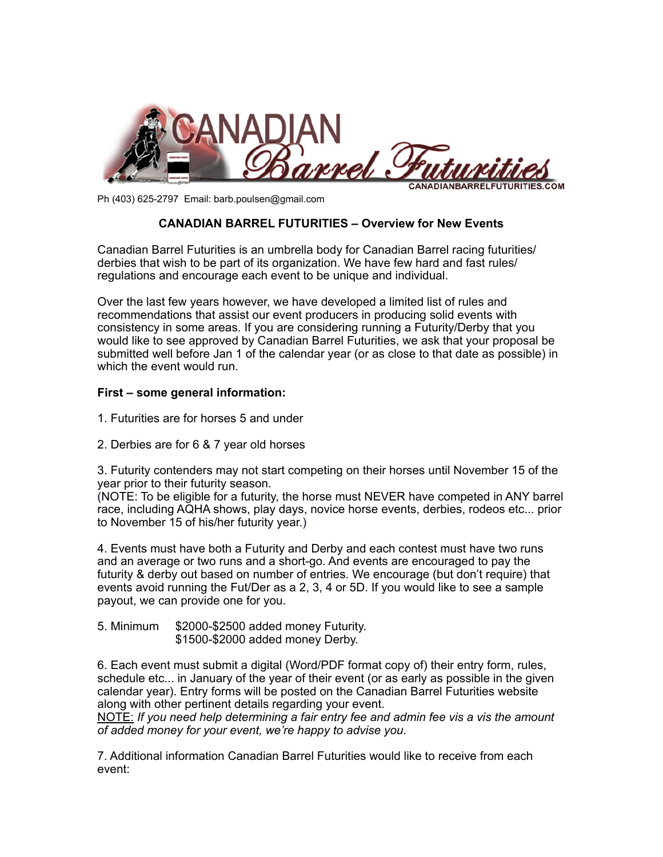

Ph (403) 625-2797 Email: barb.poulsen@gmail.com

## **CANADIAN BARREL FUTURITIES – Overview for New Events**

Canadian Barrel Futurities is an umbrella body for Canadian Barrel racing futurities/ derbies that wish to be part of its organization. We have few hard and fast rules/ regulations and encourage each event to be unique and individual.

Over the last few years however, we have developed a limited list of rules and recommendations that assist our event producers in producing solid events with consistency in some areas. If you are considering running a Futurity/Derby that you would like to see approved by Canadian Barrel Futurities, we ask that your proposal be submitted well before Jan 1 of the calendar year (or as close to that date as possible) in which the event would run.

## **First – some general information:**

- 1. Futurities are for horses 5 and under
- 2. Derbies are for 6 & 7 year old horses

3. Futurity contenders may not start competing on their horses until November 15 of the year prior to their futurity season.

(NOTE: To be eligible for a futurity, the horse must NEVER have competed in ANY barrel race, including AQHA shows, play days, novice horse events, derbies, rodeos etc... prior to November 15 of his/her futurity year.)

4. Events must have both a Futurity and Derby and each contest must have two runs and an average or two runs and a short-go. And events are encouraged to pay the futurity & derby out based on number of entries. We encourage (but don't require) that events avoid running the Fut/Der as a 2, 3, 4 or 5D. If you would like to see a sample payout, we can provide one for you.

5. Minimum \$2000-\$2500 added money Futurity. \$1500-\$2000 added money Derby.

6. Each event must submit a digital (Word/PDF format copy of) their entry form, rules, schedule etc... in January of the year of their event (or as early as possible in the given calendar year). Entry forms will be posted on the Canadian Barrel Futurities website along with other pertinent details regarding your event.

NOTE: *If you need help determining a fair entry fee and admin fee vis a vis the amount of added money for your event, we're happy to advise you.* 

7. Additional information Canadian Barrel Futurities would like to receive from each event: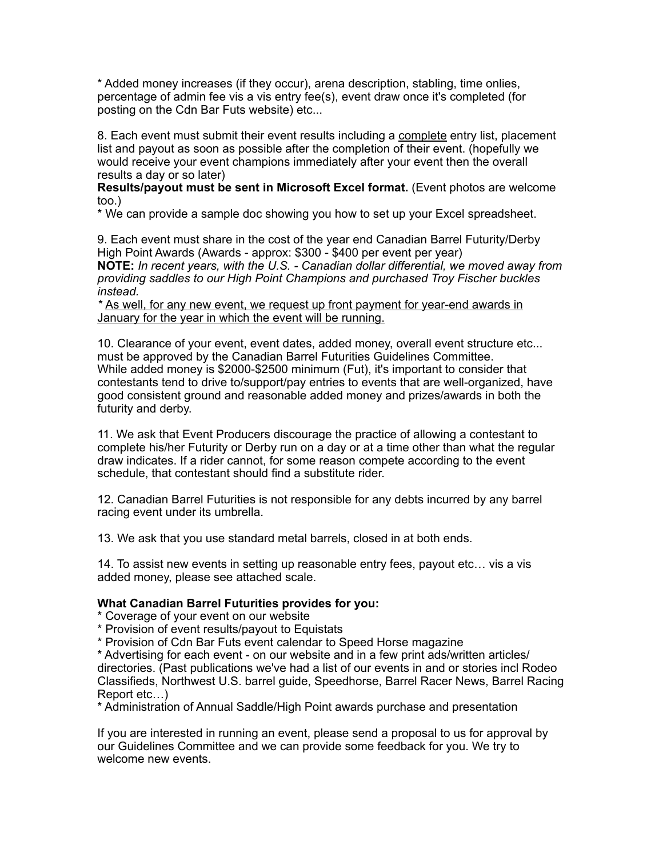\* Added money increases (if they occur), arena description, stabling, time onlies, percentage of admin fee vis a vis entry fee(s), event draw once it's completed (for posting on the Cdn Bar Futs website) etc...

8. Each event must submit their event results including a complete entry list, placement list and payout as soon as possible after the completion of their event. (hopefully we would receive your event champions immediately after your event then the overall results a day or so later)

**Results/payout must be sent in Microsoft Excel format.** (Event photos are welcome too.)

\* We can provide a sample doc showing you how to set up your Excel spreadsheet.

9. Each event must share in the cost of the year end Canadian Barrel Futurity/Derby High Point Awards (Awards - approx: \$300 - \$400 per event per year) **NOTE:** *In recent years, with the U.S. - Canadian dollar differential, we moved away from providing saddles to our High Point Champions and purchased Troy Fischer buckles instead.* 

*\** As well, for any new event, we request up front payment for year-end awards in January for the year in which the event will be running.

10. Clearance of your event, event dates, added money, overall event structure etc... must be approved by the Canadian Barrel Futurities Guidelines Committee. While added money is \$2000-\$2500 minimum (Fut), it's important to consider that contestants tend to drive to/support/pay entries to events that are well-organized, have good consistent ground and reasonable added money and prizes/awards in both the futurity and derby.

11. We ask that Event Producers discourage the practice of allowing a contestant to complete his/her Futurity or Derby run on a day or at a time other than what the regular draw indicates. If a rider cannot, for some reason compete according to the event schedule, that contestant should find a substitute rider.

12. Canadian Barrel Futurities is not responsible for any debts incurred by any barrel racing event under its umbrella.

13. We ask that you use standard metal barrels, closed in at both ends.

14. To assist new events in setting up reasonable entry fees, payout etc… vis a vis added money, please see attached scale.

## **What Canadian Barrel Futurities provides for you:**

\* Coverage of your event on our website

\* Provision of event results/payout to Equistats

\* Provision of Cdn Bar Futs event calendar to Speed Horse magazine

\* Advertising for each event - on our website and in a few print ads/written articles/ directories. (Past publications we've had a list of our events in and or stories incl Rodeo Classifieds, Northwest U.S. barrel guide, Speedhorse, Barrel Racer News, Barrel Racing Report etc…)

\* Administration of Annual Saddle/High Point awards purchase and presentation

If you are interested in running an event, please send a proposal to us for approval by our Guidelines Committee and we can provide some feedback for you. We try to welcome new events.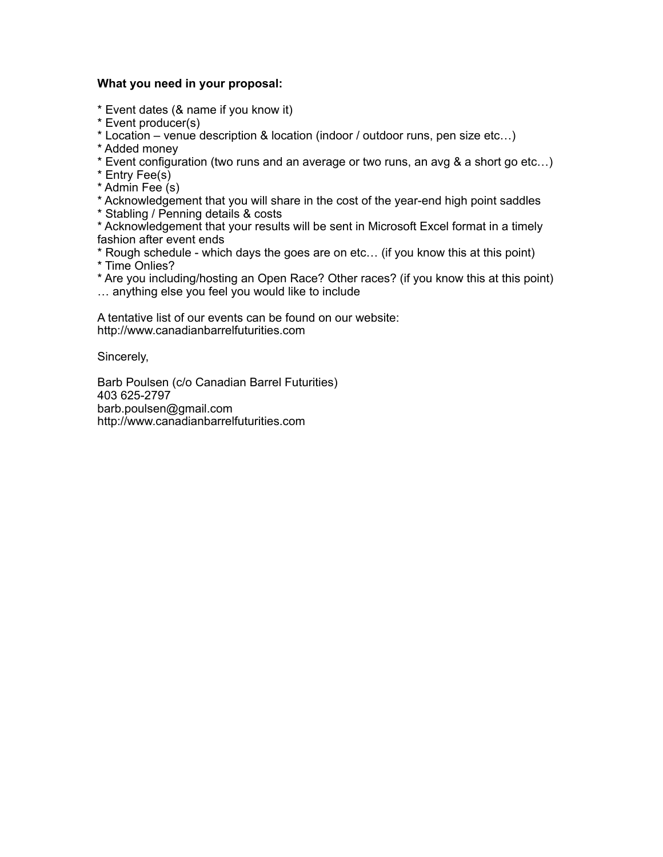## **What you need in your proposal:**

\* Event dates (& name if you know it)

\* Event producer(s)

\* Location – venue description & location (indoor / outdoor runs, pen size etc…)

\* Added money

\* Event configuration (two runs and an average or two runs, an avg & a short go etc…)

\* Entry Fee(s)

\* Admin Fee (s)

\* Acknowledgement that you will share in the cost of the year-end high point saddles \* Stabling / Penning details & costs

\* Acknowledgement that your results will be sent in Microsoft Excel format in a timely fashion after event ends

\* Rough schedule - which days the goes are on etc… (if you know this at this point) \* Time Onlies?

\* Are you including/hosting an Open Race? Other races? (if you know this at this point) … anything else you feel you would like to include

A tentative list of our events can be found on our website: http://www.canadianbarrelfuturities.com

Sincerely,

Barb Poulsen (c/o Canadian Barrel Futurities) 403 625-2797 barb.poulsen@gmail.com http://www.canadianbarrelfuturities.com